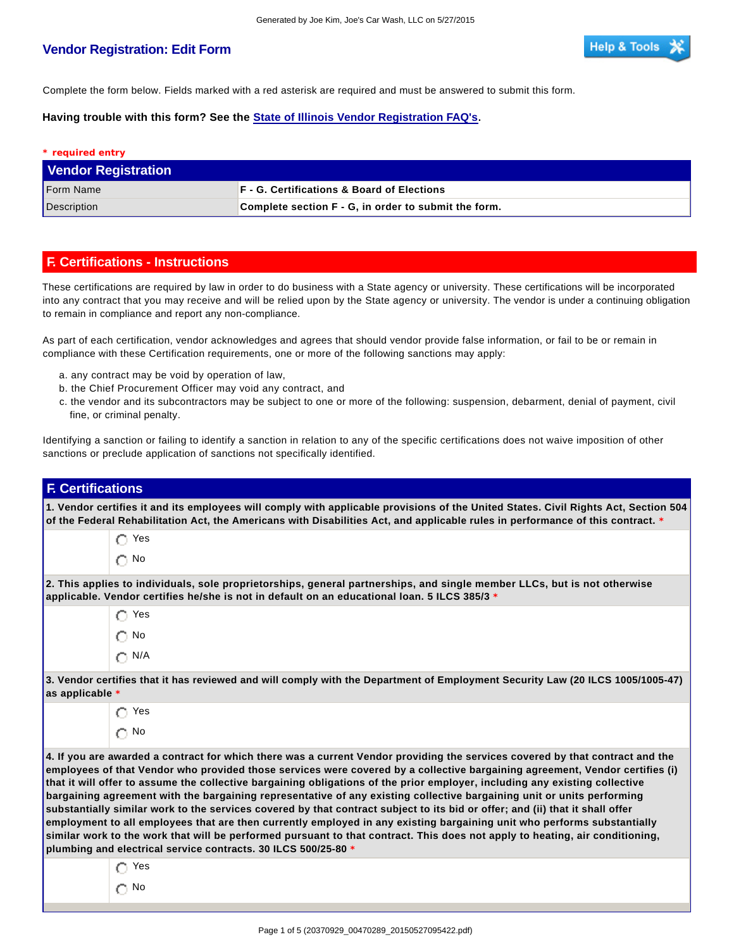## **Vendor Registration: Edit Form**

Complete the form below. Fields marked with a red asterisk are required and must be answered to submit this form.

**Having trouble with this form? See the State of Illinois Vendor Registration FAQ's.**

| * required entry           |                                                      |
|----------------------------|------------------------------------------------------|
| <b>Vendor Registration</b> |                                                      |
| <b>Form Name</b>           | <b>F</b> - G. Certifications & Board of Elections    |
| Description                | Complete section F - G, in order to submit the form. |

## **F. Certifications - Instructions**

These certifications are required by law in order to do business with a State agency or university. These certifications will be incorporated into any contract that you may receive and will be relied upon by the State agency or university. The vendor is under a continuing obligation to remain in compliance and report any non-compliance.

As part of each certification, vendor acknowledges and agrees that should vendor provide false information, or fail to be or remain in compliance with these Certification requirements, one or more of the following sanctions may apply:

- a. any contract may be void by operation of law,
- b. the Chief Procurement Officer may void any contract, and
- c. the vendor and its subcontractors may be subject to one or more of the following: suspension, debarment, denial of payment, civil fine, or criminal penalty.

Identifying a sanction or failing to identify a sanction in relation to any of the specific certifications does not waive imposition of other sanctions or preclude application of sanctions not specifically identified.

| <b>F. Certifications</b>                                                                                                                                                                                                                                                                                                                                                                                                                                                                                                                                                                                                                                                                                                                                                                                                                                                                                                                                                             |
|--------------------------------------------------------------------------------------------------------------------------------------------------------------------------------------------------------------------------------------------------------------------------------------------------------------------------------------------------------------------------------------------------------------------------------------------------------------------------------------------------------------------------------------------------------------------------------------------------------------------------------------------------------------------------------------------------------------------------------------------------------------------------------------------------------------------------------------------------------------------------------------------------------------------------------------------------------------------------------------|
| 1. Vendor certifies it and its employees will comply with applicable provisions of the United States. Civil Rights Act, Section 504<br>of the Federal Rehabilitation Act, the Americans with Disabilities Act, and applicable rules in performance of this contract. *                                                                                                                                                                                                                                                                                                                                                                                                                                                                                                                                                                                                                                                                                                               |
| $\bigcap$ Yes                                                                                                                                                                                                                                                                                                                                                                                                                                                                                                                                                                                                                                                                                                                                                                                                                                                                                                                                                                        |
| $\bigcap$ No                                                                                                                                                                                                                                                                                                                                                                                                                                                                                                                                                                                                                                                                                                                                                                                                                                                                                                                                                                         |
| 2. This applies to individuals, sole proprietorships, general partnerships, and single member LLCs, but is not otherwise<br>applicable. Vendor certifies he/she is not in default on an educational loan. 5 ILCS 385/3 *                                                                                                                                                                                                                                                                                                                                                                                                                                                                                                                                                                                                                                                                                                                                                             |
| $\bigcap$ Yes                                                                                                                                                                                                                                                                                                                                                                                                                                                                                                                                                                                                                                                                                                                                                                                                                                                                                                                                                                        |
| $\bigcirc$ No                                                                                                                                                                                                                                                                                                                                                                                                                                                                                                                                                                                                                                                                                                                                                                                                                                                                                                                                                                        |
| $\bigcap N/A$                                                                                                                                                                                                                                                                                                                                                                                                                                                                                                                                                                                                                                                                                                                                                                                                                                                                                                                                                                        |
| 3. Vendor certifies that it has reviewed and will comply with the Department of Employment Security Law (20 ILCS 1005/1005-47)<br>as applicable *                                                                                                                                                                                                                                                                                                                                                                                                                                                                                                                                                                                                                                                                                                                                                                                                                                    |
| $\bigcirc$ Yes                                                                                                                                                                                                                                                                                                                                                                                                                                                                                                                                                                                                                                                                                                                                                                                                                                                                                                                                                                       |
| $\bigcap$ No                                                                                                                                                                                                                                                                                                                                                                                                                                                                                                                                                                                                                                                                                                                                                                                                                                                                                                                                                                         |
| 4. If you are awarded a contract for which there was a current Vendor providing the services covered by that contract and the<br>employees of that Vendor who provided those services were covered by a collective bargaining agreement, Vendor certifies (i)<br>that it will offer to assume the collective bargaining obligations of the prior employer, including any existing collective<br>bargaining agreement with the bargaining representative of any existing collective bargaining unit or units performing<br>substantially similar work to the services covered by that contract subject to its bid or offer; and (ii) that it shall offer<br>employment to all employees that are then currently employed in any existing bargaining unit who performs substantially<br>similar work to the work that will be performed pursuant to that contract. This does not apply to heating, air conditioning,<br>plumbing and electrical service contracts. 30 ILCS 500/25-80 * |
| $\bigcap$ Yes                                                                                                                                                                                                                                                                                                                                                                                                                                                                                                                                                                                                                                                                                                                                                                                                                                                                                                                                                                        |
| $\bigcap$ No                                                                                                                                                                                                                                                                                                                                                                                                                                                                                                                                                                                                                                                                                                                                                                                                                                                                                                                                                                         |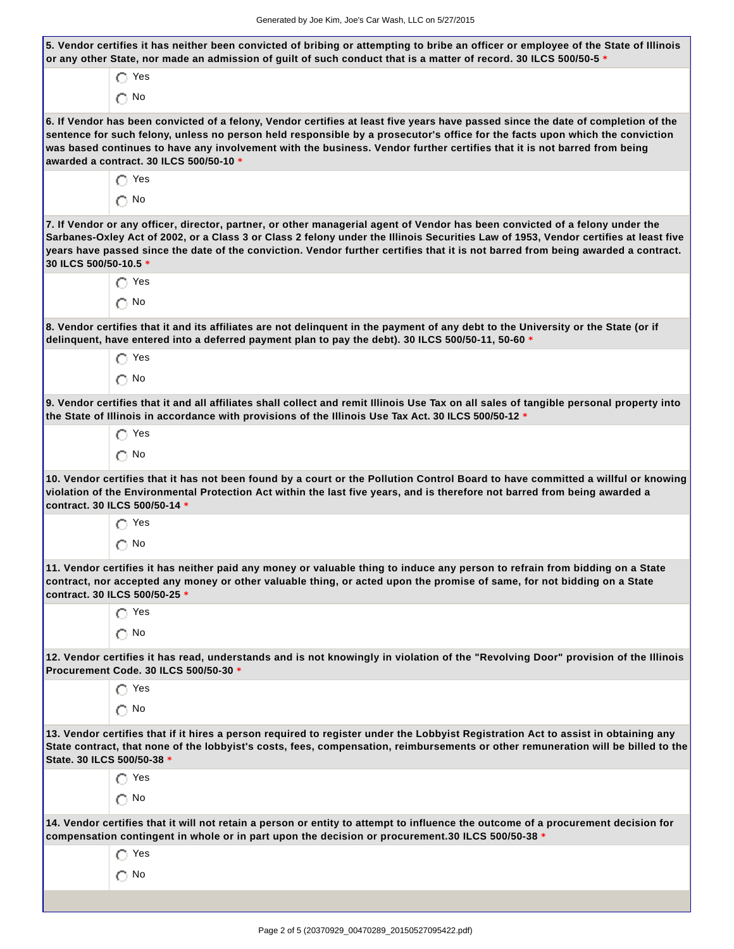| $\bigcap$ Yes<br>$\bigcap$ No<br>6. If Vendor has been convicted of a felony, Vendor certifies at least five years have passed since the date of completion of the<br>sentence for such felony, unless no person held responsible by a prosecutor's office for the facts upon which the conviction<br>was based continues to have any involvement with the business. Vendor further certifies that it is not barred from being<br>awarded a contract. 30 ILCS 500/50-10 *<br>$\bigcap$ Yes<br>$\bigcap$ No<br>7. If Vendor or any officer, director, partner, or other managerial agent of Vendor has been convicted of a felony under the<br>Sarbanes-Oxley Act of 2002, or a Class 3 or Class 2 felony under the Illinois Securities Law of 1953, Vendor certifies at least five<br>years have passed since the date of the conviction. Vendor further certifies that it is not barred from being awarded a contract.<br>30 ILCS 500/50-10.5 *<br>$\bigcirc$ Yes<br>$\bigcap$ No<br>8. Vendor certifies that it and its affiliates are not delinquent in the payment of any debt to the University or the State (or if<br>delinquent, have entered into a deferred payment plan to pay the debt). 30 ILCS 500/50-11, 50-60 *<br>$\bigcap$ Yes<br>$\bigcap$ No<br>9. Vendor certifies that it and all affiliates shall collect and remit Illinois Use Tax on all sales of tangible personal property into<br>the State of Illinois in accordance with provisions of the Illinois Use Tax Act. 30 ILCS 500/50-12 *<br>$\bigcap$ Yes<br>$\bigcap$ No<br>10. Vendor certifies that it has not been found by a court or the Pollution Control Board to have committed a willful or knowing<br>violation of the Environmental Protection Act within the last five years, and is therefore not barred from being awarded a<br>contract. 30 ILCS 500/50-14 *<br>$\bigcirc$ Yes<br>$\bigcirc$ No<br>11. Vendor certifies it has neither paid any money or valuable thing to induce any person to refrain from bidding on a State<br>contract, nor accepted any money or other valuable thing, or acted upon the promise of same, for not bidding on a State<br>contract. 30 ILCS 500/50-25 *<br>$\bigcap$ Yes<br>$\bigcap$ No<br>12. Vendor certifies it has read, understands and is not knowingly in violation of the "Revolving Door" provision of the Illinois<br>Procurement Code. 30 ILCS 500/50-30 *<br>$\bigcap$ Yes<br>$\bigcap$ No<br>13. Vendor certifies that if it hires a person required to register under the Lobbyist Registration Act to assist in obtaining any<br>State. 30 ILCS 500/50-38 *<br>$\bigcirc$ Yes<br>$\bigcap$ No<br>14. Vendor certifies that it will not retain a person or entity to attempt to influence the outcome of a procurement decision for<br>compensation contingent in whole or in part upon the decision or procurement.30 ILCS 500/50-38 *<br>Yes<br>$\bigcap$ No | 5. Vendor certifies it has neither been convicted of bribing or attempting to bribe an officer or employee of the State of Illinois<br>or any other State, nor made an admission of guilt of such conduct that is a matter of record. 30 ILCS 500/50-5 * |
|-------------------------------------------------------------------------------------------------------------------------------------------------------------------------------------------------------------------------------------------------------------------------------------------------------------------------------------------------------------------------------------------------------------------------------------------------------------------------------------------------------------------------------------------------------------------------------------------------------------------------------------------------------------------------------------------------------------------------------------------------------------------------------------------------------------------------------------------------------------------------------------------------------------------------------------------------------------------------------------------------------------------------------------------------------------------------------------------------------------------------------------------------------------------------------------------------------------------------------------------------------------------------------------------------------------------------------------------------------------------------------------------------------------------------------------------------------------------------------------------------------------------------------------------------------------------------------------------------------------------------------------------------------------------------------------------------------------------------------------------------------------------------------------------------------------------------------------------------------------------------------------------------------------------------------------------------------------------------------------------------------------------------------------------------------------------------------------------------------------------------------------------------------------------------------------------------------------------------------------------------------------------------------------------------------------------------------------------------------------------------------------------------------------------------------------------------------------------------------------------------------------------------------------------------------------------------------------------------------------------------------------------------------------------------------------------------------------------------------------------------------------------------------------------------------------------------------------------------------------------------------------------------------------|----------------------------------------------------------------------------------------------------------------------------------------------------------------------------------------------------------------------------------------------------------|
|                                                                                                                                                                                                                                                                                                                                                                                                                                                                                                                                                                                                                                                                                                                                                                                                                                                                                                                                                                                                                                                                                                                                                                                                                                                                                                                                                                                                                                                                                                                                                                                                                                                                                                                                                                                                                                                                                                                                                                                                                                                                                                                                                                                                                                                                                                                                                                                                                                                                                                                                                                                                                                                                                                                                                                                                                                                                                                             |                                                                                                                                                                                                                                                          |
|                                                                                                                                                                                                                                                                                                                                                                                                                                                                                                                                                                                                                                                                                                                                                                                                                                                                                                                                                                                                                                                                                                                                                                                                                                                                                                                                                                                                                                                                                                                                                                                                                                                                                                                                                                                                                                                                                                                                                                                                                                                                                                                                                                                                                                                                                                                                                                                                                                                                                                                                                                                                                                                                                                                                                                                                                                                                                                             |                                                                                                                                                                                                                                                          |
|                                                                                                                                                                                                                                                                                                                                                                                                                                                                                                                                                                                                                                                                                                                                                                                                                                                                                                                                                                                                                                                                                                                                                                                                                                                                                                                                                                                                                                                                                                                                                                                                                                                                                                                                                                                                                                                                                                                                                                                                                                                                                                                                                                                                                                                                                                                                                                                                                                                                                                                                                                                                                                                                                                                                                                                                                                                                                                             |                                                                                                                                                                                                                                                          |
|                                                                                                                                                                                                                                                                                                                                                                                                                                                                                                                                                                                                                                                                                                                                                                                                                                                                                                                                                                                                                                                                                                                                                                                                                                                                                                                                                                                                                                                                                                                                                                                                                                                                                                                                                                                                                                                                                                                                                                                                                                                                                                                                                                                                                                                                                                                                                                                                                                                                                                                                                                                                                                                                                                                                                                                                                                                                                                             |                                                                                                                                                                                                                                                          |
|                                                                                                                                                                                                                                                                                                                                                                                                                                                                                                                                                                                                                                                                                                                                                                                                                                                                                                                                                                                                                                                                                                                                                                                                                                                                                                                                                                                                                                                                                                                                                                                                                                                                                                                                                                                                                                                                                                                                                                                                                                                                                                                                                                                                                                                                                                                                                                                                                                                                                                                                                                                                                                                                                                                                                                                                                                                                                                             |                                                                                                                                                                                                                                                          |
|                                                                                                                                                                                                                                                                                                                                                                                                                                                                                                                                                                                                                                                                                                                                                                                                                                                                                                                                                                                                                                                                                                                                                                                                                                                                                                                                                                                                                                                                                                                                                                                                                                                                                                                                                                                                                                                                                                                                                                                                                                                                                                                                                                                                                                                                                                                                                                                                                                                                                                                                                                                                                                                                                                                                                                                                                                                                                                             |                                                                                                                                                                                                                                                          |
|                                                                                                                                                                                                                                                                                                                                                                                                                                                                                                                                                                                                                                                                                                                                                                                                                                                                                                                                                                                                                                                                                                                                                                                                                                                                                                                                                                                                                                                                                                                                                                                                                                                                                                                                                                                                                                                                                                                                                                                                                                                                                                                                                                                                                                                                                                                                                                                                                                                                                                                                                                                                                                                                                                                                                                                                                                                                                                             |                                                                                                                                                                                                                                                          |
|                                                                                                                                                                                                                                                                                                                                                                                                                                                                                                                                                                                                                                                                                                                                                                                                                                                                                                                                                                                                                                                                                                                                                                                                                                                                                                                                                                                                                                                                                                                                                                                                                                                                                                                                                                                                                                                                                                                                                                                                                                                                                                                                                                                                                                                                                                                                                                                                                                                                                                                                                                                                                                                                                                                                                                                                                                                                                                             |                                                                                                                                                                                                                                                          |
|                                                                                                                                                                                                                                                                                                                                                                                                                                                                                                                                                                                                                                                                                                                                                                                                                                                                                                                                                                                                                                                                                                                                                                                                                                                                                                                                                                                                                                                                                                                                                                                                                                                                                                                                                                                                                                                                                                                                                                                                                                                                                                                                                                                                                                                                                                                                                                                                                                                                                                                                                                                                                                                                                                                                                                                                                                                                                                             |                                                                                                                                                                                                                                                          |
|                                                                                                                                                                                                                                                                                                                                                                                                                                                                                                                                                                                                                                                                                                                                                                                                                                                                                                                                                                                                                                                                                                                                                                                                                                                                                                                                                                                                                                                                                                                                                                                                                                                                                                                                                                                                                                                                                                                                                                                                                                                                                                                                                                                                                                                                                                                                                                                                                                                                                                                                                                                                                                                                                                                                                                                                                                                                                                             |                                                                                                                                                                                                                                                          |
|                                                                                                                                                                                                                                                                                                                                                                                                                                                                                                                                                                                                                                                                                                                                                                                                                                                                                                                                                                                                                                                                                                                                                                                                                                                                                                                                                                                                                                                                                                                                                                                                                                                                                                                                                                                                                                                                                                                                                                                                                                                                                                                                                                                                                                                                                                                                                                                                                                                                                                                                                                                                                                                                                                                                                                                                                                                                                                             |                                                                                                                                                                                                                                                          |
|                                                                                                                                                                                                                                                                                                                                                                                                                                                                                                                                                                                                                                                                                                                                                                                                                                                                                                                                                                                                                                                                                                                                                                                                                                                                                                                                                                                                                                                                                                                                                                                                                                                                                                                                                                                                                                                                                                                                                                                                                                                                                                                                                                                                                                                                                                                                                                                                                                                                                                                                                                                                                                                                                                                                                                                                                                                                                                             |                                                                                                                                                                                                                                                          |
|                                                                                                                                                                                                                                                                                                                                                                                                                                                                                                                                                                                                                                                                                                                                                                                                                                                                                                                                                                                                                                                                                                                                                                                                                                                                                                                                                                                                                                                                                                                                                                                                                                                                                                                                                                                                                                                                                                                                                                                                                                                                                                                                                                                                                                                                                                                                                                                                                                                                                                                                                                                                                                                                                                                                                                                                                                                                                                             |                                                                                                                                                                                                                                                          |
|                                                                                                                                                                                                                                                                                                                                                                                                                                                                                                                                                                                                                                                                                                                                                                                                                                                                                                                                                                                                                                                                                                                                                                                                                                                                                                                                                                                                                                                                                                                                                                                                                                                                                                                                                                                                                                                                                                                                                                                                                                                                                                                                                                                                                                                                                                                                                                                                                                                                                                                                                                                                                                                                                                                                                                                                                                                                                                             |                                                                                                                                                                                                                                                          |
|                                                                                                                                                                                                                                                                                                                                                                                                                                                                                                                                                                                                                                                                                                                                                                                                                                                                                                                                                                                                                                                                                                                                                                                                                                                                                                                                                                                                                                                                                                                                                                                                                                                                                                                                                                                                                                                                                                                                                                                                                                                                                                                                                                                                                                                                                                                                                                                                                                                                                                                                                                                                                                                                                                                                                                                                                                                                                                             |                                                                                                                                                                                                                                                          |
| State contract, that none of the lobbyist's costs, fees, compensation, reimbursements or other remuneration will be billed to the                                                                                                                                                                                                                                                                                                                                                                                                                                                                                                                                                                                                                                                                                                                                                                                                                                                                                                                                                                                                                                                                                                                                                                                                                                                                                                                                                                                                                                                                                                                                                                                                                                                                                                                                                                                                                                                                                                                                                                                                                                                                                                                                                                                                                                                                                                                                                                                                                                                                                                                                                                                                                                                                                                                                                                           |                                                                                                                                                                                                                                                          |
|                                                                                                                                                                                                                                                                                                                                                                                                                                                                                                                                                                                                                                                                                                                                                                                                                                                                                                                                                                                                                                                                                                                                                                                                                                                                                                                                                                                                                                                                                                                                                                                                                                                                                                                                                                                                                                                                                                                                                                                                                                                                                                                                                                                                                                                                                                                                                                                                                                                                                                                                                                                                                                                                                                                                                                                                                                                                                                             |                                                                                                                                                                                                                                                          |
|                                                                                                                                                                                                                                                                                                                                                                                                                                                                                                                                                                                                                                                                                                                                                                                                                                                                                                                                                                                                                                                                                                                                                                                                                                                                                                                                                                                                                                                                                                                                                                                                                                                                                                                                                                                                                                                                                                                                                                                                                                                                                                                                                                                                                                                                                                                                                                                                                                                                                                                                                                                                                                                                                                                                                                                                                                                                                                             |                                                                                                                                                                                                                                                          |
|                                                                                                                                                                                                                                                                                                                                                                                                                                                                                                                                                                                                                                                                                                                                                                                                                                                                                                                                                                                                                                                                                                                                                                                                                                                                                                                                                                                                                                                                                                                                                                                                                                                                                                                                                                                                                                                                                                                                                                                                                                                                                                                                                                                                                                                                                                                                                                                                                                                                                                                                                                                                                                                                                                                                                                                                                                                                                                             |                                                                                                                                                                                                                                                          |
|                                                                                                                                                                                                                                                                                                                                                                                                                                                                                                                                                                                                                                                                                                                                                                                                                                                                                                                                                                                                                                                                                                                                                                                                                                                                                                                                                                                                                                                                                                                                                                                                                                                                                                                                                                                                                                                                                                                                                                                                                                                                                                                                                                                                                                                                                                                                                                                                                                                                                                                                                                                                                                                                                                                                                                                                                                                                                                             |                                                                                                                                                                                                                                                          |
|                                                                                                                                                                                                                                                                                                                                                                                                                                                                                                                                                                                                                                                                                                                                                                                                                                                                                                                                                                                                                                                                                                                                                                                                                                                                                                                                                                                                                                                                                                                                                                                                                                                                                                                                                                                                                                                                                                                                                                                                                                                                                                                                                                                                                                                                                                                                                                                                                                                                                                                                                                                                                                                                                                                                                                                                                                                                                                             |                                                                                                                                                                                                                                                          |
|                                                                                                                                                                                                                                                                                                                                                                                                                                                                                                                                                                                                                                                                                                                                                                                                                                                                                                                                                                                                                                                                                                                                                                                                                                                                                                                                                                                                                                                                                                                                                                                                                                                                                                                                                                                                                                                                                                                                                                                                                                                                                                                                                                                                                                                                                                                                                                                                                                                                                                                                                                                                                                                                                                                                                                                                                                                                                                             |                                                                                                                                                                                                                                                          |
|                                                                                                                                                                                                                                                                                                                                                                                                                                                                                                                                                                                                                                                                                                                                                                                                                                                                                                                                                                                                                                                                                                                                                                                                                                                                                                                                                                                                                                                                                                                                                                                                                                                                                                                                                                                                                                                                                                                                                                                                                                                                                                                                                                                                                                                                                                                                                                                                                                                                                                                                                                                                                                                                                                                                                                                                                                                                                                             |                                                                                                                                                                                                                                                          |
|                                                                                                                                                                                                                                                                                                                                                                                                                                                                                                                                                                                                                                                                                                                                                                                                                                                                                                                                                                                                                                                                                                                                                                                                                                                                                                                                                                                                                                                                                                                                                                                                                                                                                                                                                                                                                                                                                                                                                                                                                                                                                                                                                                                                                                                                                                                                                                                                                                                                                                                                                                                                                                                                                                                                                                                                                                                                                                             |                                                                                                                                                                                                                                                          |
|                                                                                                                                                                                                                                                                                                                                                                                                                                                                                                                                                                                                                                                                                                                                                                                                                                                                                                                                                                                                                                                                                                                                                                                                                                                                                                                                                                                                                                                                                                                                                                                                                                                                                                                                                                                                                                                                                                                                                                                                                                                                                                                                                                                                                                                                                                                                                                                                                                                                                                                                                                                                                                                                                                                                                                                                                                                                                                             |                                                                                                                                                                                                                                                          |
|                                                                                                                                                                                                                                                                                                                                                                                                                                                                                                                                                                                                                                                                                                                                                                                                                                                                                                                                                                                                                                                                                                                                                                                                                                                                                                                                                                                                                                                                                                                                                                                                                                                                                                                                                                                                                                                                                                                                                                                                                                                                                                                                                                                                                                                                                                                                                                                                                                                                                                                                                                                                                                                                                                                                                                                                                                                                                                             |                                                                                                                                                                                                                                                          |
|                                                                                                                                                                                                                                                                                                                                                                                                                                                                                                                                                                                                                                                                                                                                                                                                                                                                                                                                                                                                                                                                                                                                                                                                                                                                                                                                                                                                                                                                                                                                                                                                                                                                                                                                                                                                                                                                                                                                                                                                                                                                                                                                                                                                                                                                                                                                                                                                                                                                                                                                                                                                                                                                                                                                                                                                                                                                                                             |                                                                                                                                                                                                                                                          |
|                                                                                                                                                                                                                                                                                                                                                                                                                                                                                                                                                                                                                                                                                                                                                                                                                                                                                                                                                                                                                                                                                                                                                                                                                                                                                                                                                                                                                                                                                                                                                                                                                                                                                                                                                                                                                                                                                                                                                                                                                                                                                                                                                                                                                                                                                                                                                                                                                                                                                                                                                                                                                                                                                                                                                                                                                                                                                                             |                                                                                                                                                                                                                                                          |
|                                                                                                                                                                                                                                                                                                                                                                                                                                                                                                                                                                                                                                                                                                                                                                                                                                                                                                                                                                                                                                                                                                                                                                                                                                                                                                                                                                                                                                                                                                                                                                                                                                                                                                                                                                                                                                                                                                                                                                                                                                                                                                                                                                                                                                                                                                                                                                                                                                                                                                                                                                                                                                                                                                                                                                                                                                                                                                             |                                                                                                                                                                                                                                                          |
|                                                                                                                                                                                                                                                                                                                                                                                                                                                                                                                                                                                                                                                                                                                                                                                                                                                                                                                                                                                                                                                                                                                                                                                                                                                                                                                                                                                                                                                                                                                                                                                                                                                                                                                                                                                                                                                                                                                                                                                                                                                                                                                                                                                                                                                                                                                                                                                                                                                                                                                                                                                                                                                                                                                                                                                                                                                                                                             |                                                                                                                                                                                                                                                          |
|                                                                                                                                                                                                                                                                                                                                                                                                                                                                                                                                                                                                                                                                                                                                                                                                                                                                                                                                                                                                                                                                                                                                                                                                                                                                                                                                                                                                                                                                                                                                                                                                                                                                                                                                                                                                                                                                                                                                                                                                                                                                                                                                                                                                                                                                                                                                                                                                                                                                                                                                                                                                                                                                                                                                                                                                                                                                                                             |                                                                                                                                                                                                                                                          |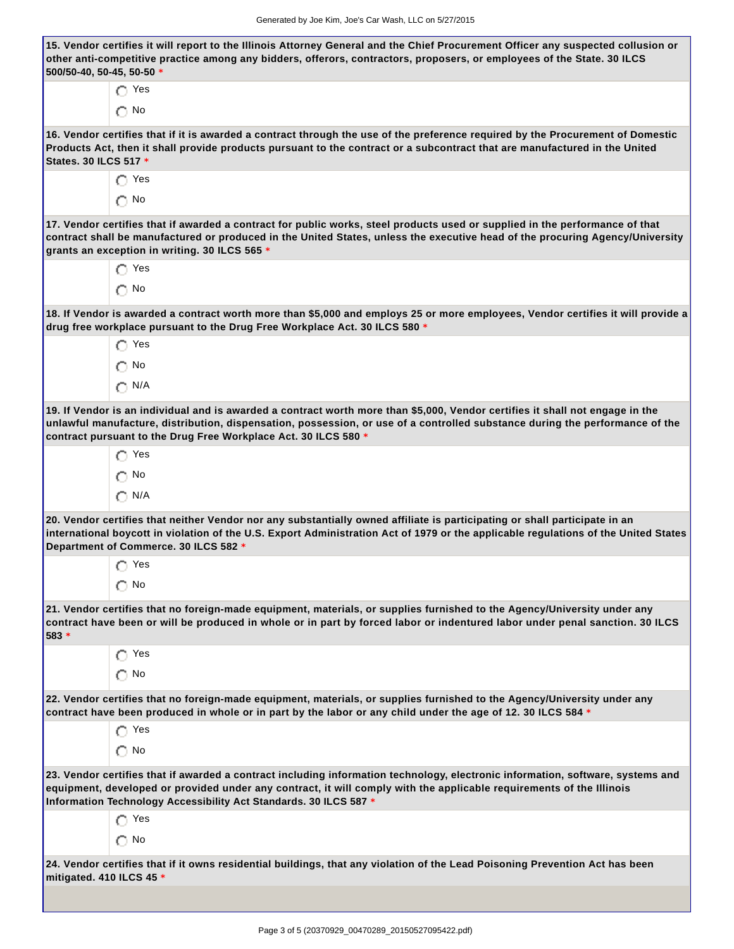| 500/50-40, 50-45, 50-50 $*$ | 15. Vendor certifies it will report to the Illinois Attorney General and the Chief Procurement Officer any suspected collusion or<br>other anti-competitive practice among any bidders, offerors, contractors, proposers, or employees of the State. 30 ILCS                                                                     |
|-----------------------------|----------------------------------------------------------------------------------------------------------------------------------------------------------------------------------------------------------------------------------------------------------------------------------------------------------------------------------|
|                             | $\bigcap$ Yes                                                                                                                                                                                                                                                                                                                    |
|                             | $\bigcap$ No                                                                                                                                                                                                                                                                                                                     |
| States. 30 ILCS 517 *       | 16. Vendor certifies that if it is awarded a contract through the use of the preference required by the Procurement of Domestic<br>Products Act, then it shall provide products pursuant to the contract or a subcontract that are manufactured in the United                                                                    |
|                             | $\bigcap$ Yes                                                                                                                                                                                                                                                                                                                    |
|                             | $\bigcirc$ No                                                                                                                                                                                                                                                                                                                    |
|                             | 17. Vendor certifies that if awarded a contract for public works, steel products used or supplied in the performance of that<br>contract shall be manufactured or produced in the United States, unless the executive head of the procuring Agency/University<br>grants an exception in writing. 30 ILCS 565 *                   |
|                             | $\bigcap$ Yes                                                                                                                                                                                                                                                                                                                    |
|                             | $\bigcirc$ No                                                                                                                                                                                                                                                                                                                    |
|                             | 18. If Vendor is awarded a contract worth more than \$5,000 and employs 25 or more employees, Vendor certifies it will provide a<br>drug free workplace pursuant to the Drug Free Workplace Act. 30 ILCS 580 *                                                                                                                   |
|                             | $\bigcap$ Yes                                                                                                                                                                                                                                                                                                                    |
|                             | $\bigcap$ No                                                                                                                                                                                                                                                                                                                     |
|                             | $\bigcap$ N/A                                                                                                                                                                                                                                                                                                                    |
|                             | 19. If Vendor is an individual and is awarded a contract worth more than \$5,000, Vendor certifies it shall not engage in the<br>unlawful manufacture, distribution, dispensation, possession, or use of a controlled substance during the performance of the<br>contract pursuant to the Drug Free Workplace Act. 30 ILCS 580 * |
|                             | Yes                                                                                                                                                                                                                                                                                                                              |
|                             | $\bigcirc$ No                                                                                                                                                                                                                                                                                                                    |
|                             | $\bigcap$ N/A                                                                                                                                                                                                                                                                                                                    |
|                             | 20. Vendor certifies that neither Vendor nor any substantially owned affiliate is participating or shall participate in an<br>international boycott in violation of the U.S. Export Administration Act of 1979 or the applicable regulations of the United States<br>Department of Commerce. 30 ILCS 582 *                       |
|                             | $\bigcap$ Yes                                                                                                                                                                                                                                                                                                                    |
|                             | $\bigcap$ No                                                                                                                                                                                                                                                                                                                     |
| 583 *                       | 21. Vendor certifies that no foreign-made equipment, materials, or supplies furnished to the Agency/University under any<br>contract have been or will be produced in whole or in part by forced labor or indentured labor under penal sanction. 30 ILCS                                                                         |
|                             | $\bigcap$ Yes                                                                                                                                                                                                                                                                                                                    |
|                             | $\bigcap$ No                                                                                                                                                                                                                                                                                                                     |
|                             | 22. Vendor certifies that no foreign-made equipment, materials, or supplies furnished to the Agency/University under any<br>contract have been produced in whole or in part by the labor or any child under the age of 12. 30 ILCS 584 *                                                                                         |
|                             | $\bigcap$ Yes                                                                                                                                                                                                                                                                                                                    |
|                             | $\bigcap$ No                                                                                                                                                                                                                                                                                                                     |
|                             | 23. Vendor certifies that if awarded a contract including information technology, electronic information, software, systems and<br>equipment, developed or provided under any contract, it will comply with the applicable requirements of the Illinois<br>Information Technology Accessibility Act Standards. 30 ILCS 587 *     |
|                             | ∩ Yes                                                                                                                                                                                                                                                                                                                            |
|                             | $\bigcap$ No                                                                                                                                                                                                                                                                                                                     |
| mitigated. 410 ILCS 45 *    | 24. Vendor certifies that if it owns residential buildings, that any violation of the Lead Poisoning Prevention Act has been                                                                                                                                                                                                     |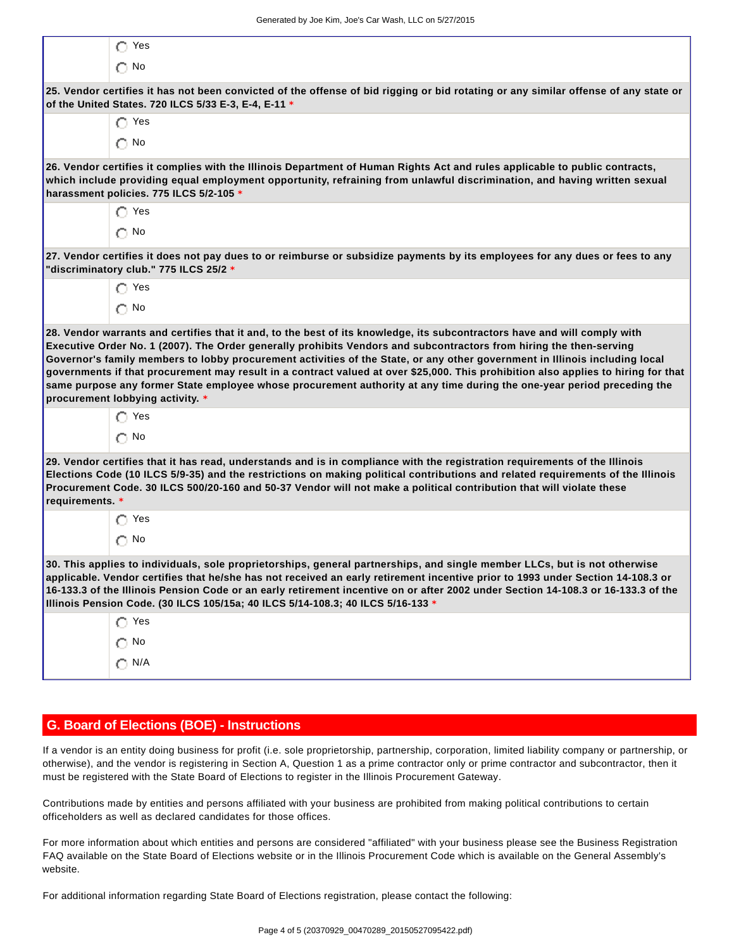|                 | $\bigcirc$ Yes                                                                                                                                                                                                                                                                                                                                                                                                                                                                       |
|-----------------|--------------------------------------------------------------------------------------------------------------------------------------------------------------------------------------------------------------------------------------------------------------------------------------------------------------------------------------------------------------------------------------------------------------------------------------------------------------------------------------|
|                 | $\bigcap$ No                                                                                                                                                                                                                                                                                                                                                                                                                                                                         |
|                 | 25. Vendor certifies it has not been convicted of the offense of bid rigging or bid rotating or any similar offense of any state or<br>of the United States. 720 ILCS 5/33 E-3, E-4, E-11 *                                                                                                                                                                                                                                                                                          |
|                 | $\bigcap$ Yes                                                                                                                                                                                                                                                                                                                                                                                                                                                                        |
|                 | $\bigcap$ No                                                                                                                                                                                                                                                                                                                                                                                                                                                                         |
|                 | 26. Vendor certifies it complies with the Illinois Department of Human Rights Act and rules applicable to public contracts,<br>which include providing equal employment opportunity, refraining from unlawful discrimination, and having written sexual<br>harassment policies. 775 ILCS 5/2-105 *                                                                                                                                                                                   |
|                 | $\bigcap$ Yes                                                                                                                                                                                                                                                                                                                                                                                                                                                                        |
|                 | $\bigcap$ No                                                                                                                                                                                                                                                                                                                                                                                                                                                                         |
|                 | 27. Vendor certifies it does not pay dues to or reimburse or subsidize payments by its employees for any dues or fees to any<br>"discriminatory club." 775 ILCS 25/2 *                                                                                                                                                                                                                                                                                                               |
|                 | $\bigcap$ Yes                                                                                                                                                                                                                                                                                                                                                                                                                                                                        |
|                 | $\bigcap$ No                                                                                                                                                                                                                                                                                                                                                                                                                                                                         |
|                 | 28. Vendor warrants and certifies that it and, to the best of its knowledge, its subcontractors have and will comply with<br>Executive Order No. 1 (2007). The Order generally prohibits Vendors and subcontractors from hiring the then-serving                                                                                                                                                                                                                                     |
|                 | Governor's family members to lobby procurement activities of the State, or any other government in Illinois including local<br>governments if that procurement may result in a contract valued at over \$25,000. This prohibition also applies to hiring for that<br>same purpose any former State employee whose procurement authority at any time during the one-year period preceding the<br>procurement lobbying activity. *                                                     |
|                 | $\bigcap$ Yes                                                                                                                                                                                                                                                                                                                                                                                                                                                                        |
|                 | $\bigcap$ No                                                                                                                                                                                                                                                                                                                                                                                                                                                                         |
| requirements. * | 29. Vendor certifies that it has read, understands and is in compliance with the registration requirements of the Illinois<br>Elections Code (10 ILCS 5/9-35) and the restrictions on making political contributions and related requirements of the Illinois<br>Procurement Code. 30 ILCS 500/20-160 and 50-37 Vendor will not make a political contribution that will violate these                                                                                                |
|                 | $\bigcap$ Yes                                                                                                                                                                                                                                                                                                                                                                                                                                                                        |
|                 | $\bigcap$ No                                                                                                                                                                                                                                                                                                                                                                                                                                                                         |
|                 | 30. This applies to individuals, sole proprietorships, general partnerships, and single member LLCs, but is not otherwise<br>applicable. Vendor certifies that he/she has not received an early retirement incentive prior to 1993 under Section 14-108.3 or<br>16-133.3 of the Illinois Pension Code or an early retirement incentive on or after 2002 under Section 14-108.3 or 16-133.3 of the<br>Illinois Pension Code. (30 ILCS 105/15a; 40 ILCS 5/14-108.3; 40 ILCS 5/16-133 * |
|                 | ∩ Yes                                                                                                                                                                                                                                                                                                                                                                                                                                                                                |
|                 | $\bigcirc$ No                                                                                                                                                                                                                                                                                                                                                                                                                                                                        |

## **G. Board of Elections (BOE) - Instructions**

If a vendor is an entity doing business for profit (i.e. sole proprietorship, partnership, corporation, limited liability company or partnership, or otherwise), and the vendor is registering in Section A, Question 1 as a prime contractor only or prime contractor and subcontractor, then it must be registered with the State Board of Elections to register in the Illinois Procurement Gateway.

Contributions made by entities and persons affiliated with your business are prohibited from making political contributions to certain officeholders as well as declared candidates for those offices.

For more information about which entities and persons are considered "affiliated" with your business please see the Business Registration FAQ available on the State Board of Elections website or in the Illinois Procurement Code which is available on the General Assembly's website.

For additional information regarding State Board of Elections registration, please contact the following: